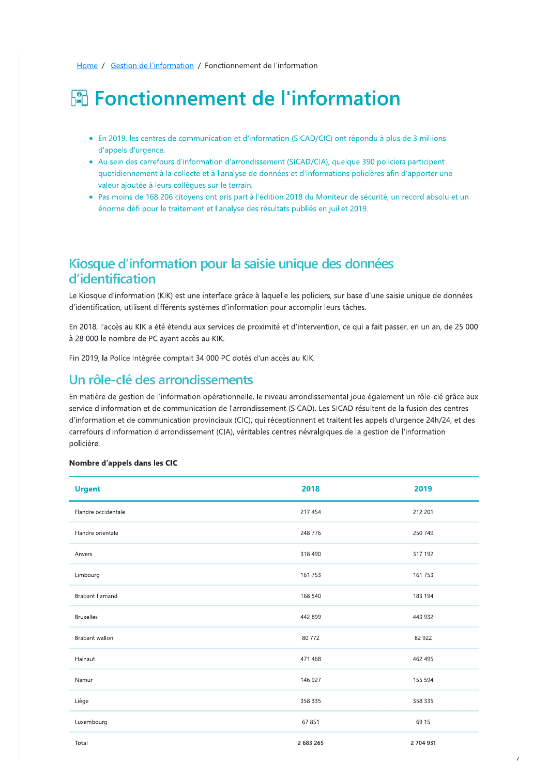Home / Gestion de l'information / Fonctionnement de l'information

# 图 Fonctionnement de l'information

- En 2019, les centres de communication et d'information (SICAD/CIC) ont répondu à plus de 3 millions d'appels d'urgence.
- Au sein des carrefours d'information d'arrondissement (SICAD/CIA), quelque 390 policiers participent quotidiennement à la collecte et à l'analyse de données et d'informations policières afin d'apporter une valeur ajoutée à leurs collègues sur le terrain.
- · Pas moins de 168 206 citoyens ont pris part à l'édition 2018 du Moniteur de sécurité, un record absolu et un énorme défi pour le traitement et l'analyse des résultats publiés en juillet 2019.

### Kiosque d'information pour la saisie unique des données d'identification

Le Kiosque d'information (KIK) est une interface grâce à laquelle les policiers, sur base d'une saisie unique de données d'identification, utilisent différents systèmes d'information pour accomplir leurs tâches.

En 2018, l'accès au KIK a été étendu aux services de proximité et d'intervention, ce qui a fait passer, en un an, de 25 000 à 28 000 le nombre de PC ayant accès au KIK.

Fin 2019, la Police Intégrée comptait 34 000 PC dotés d'un accès au KIK.

### Un rôle-clé des arrondissements

En matière de gestion de l'information opérationnelle, le niveau arrondissemental joue également un rôle-clé grâce aux service d'information et de communication de l'arrondissement (SICAD). Les SICAD résultent de la fusion des centres d'information et de communication provinciaux (CIC), qui réceptionnent et traitent les appels d'urgence 24h/24, et des carrefours d'information d'arrondissement (CIA), véritables centres névralgiques de la gestion de l'information policière.

#### Nombre d'appels dans les CIC

| <b>Urgent</b>       | 2018      | 2019      |
|---------------------|-----------|-----------|
| Flandre occidentale | 217 454   | 212 201   |
| Flandre orientale   | 248 776   | 250 749   |
| Anvers              | 318 490   | 317 192   |
| Limbourg            | 161 753   | 161 753   |
| Brabant flamand     | 168 540   | 183 194   |
| <b>Bruxelles</b>    | 442 899   | 443 932   |
| Brabant wallon      | 80772     | 82 922    |
| Hainaut             | 471 468   | 462 495   |
| Namur               | 146 927   | 155 594   |
| Liège               | 358 335   | 358 335   |
| Luxembourg          | 67851     | 69 15     |
| Total               | 2 683 265 | 2 704 931 |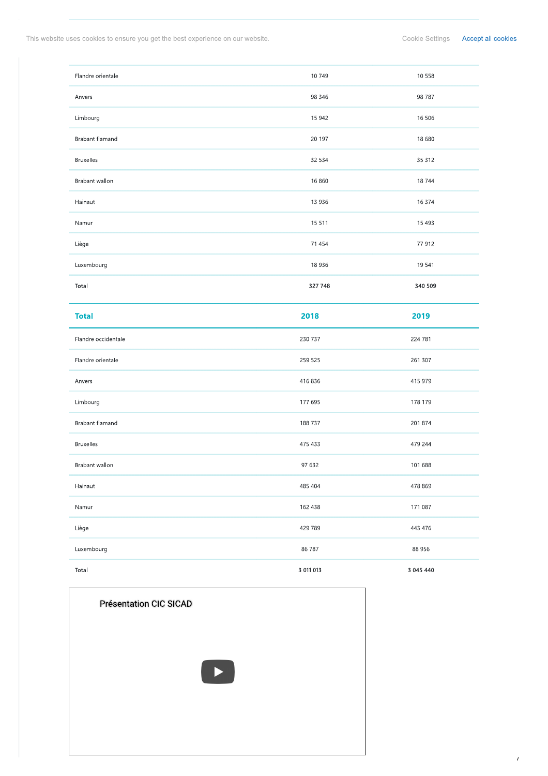This website uses cookies to ensure you get the best experience on our website.

| Flandre orientale      | 10 749  | 10 558  |
|------------------------|---------|---------|
| Anvers                 | 98 346  | 98 787  |
| Limbourg               | 15 942  | 16 506  |
| Brabant flamand        | 20 197  | 18 680  |
| <b>Bruxelles</b>       | 32 5 34 | 35 312  |
| Brabant wallon         | 16 860  | 18 744  |
| Hainaut                | 13 9 36 | 16 374  |
| Namur                  | 15 5 11 | 15 4 93 |
| Liège                  | 71 454  | 77 912  |
| Luxembourg             | 18 9 36 | 19 541  |
| Total                  | 327 748 | 340 509 |
| <b>Total</b>           | 2018    | 2019    |
|                        |         |         |
| Flandre occidentale    | 230 737 | 224 781 |
| Flandre orientale      | 259 525 | 261 307 |
| Anvers                 | 416 836 | 415 979 |
| Limbourg               | 177 695 | 178 179 |
| <b>Brabant flamand</b> | 188 737 | 201 874 |
| <b>Bruxelles</b>       | 475 433 | 479 244 |
| Brabant wallon         | 97 632  | 101 688 |
| Hainaut                | 485 404 | 478 869 |
| Namur                  | 162 438 | 171 087 |
| Liège                  | 429 789 | 443 476 |
| Luxembourg             | 86 787  | 88 956  |



 $\bar{I}$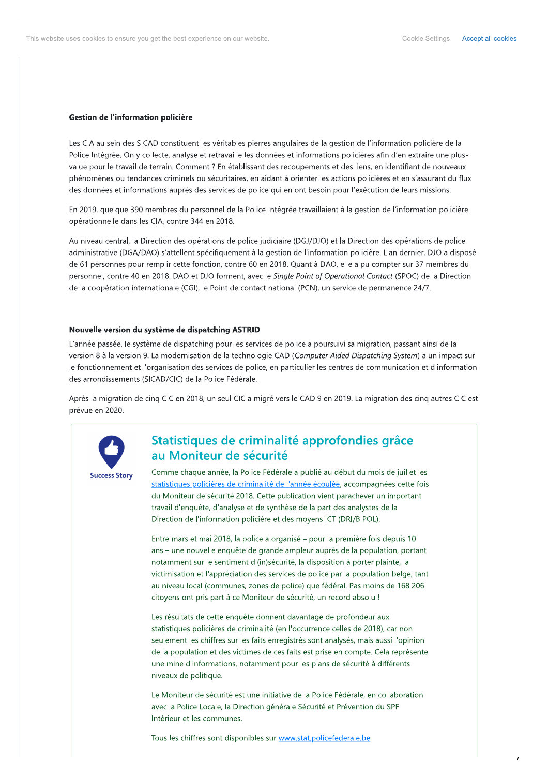#### Gestion de l'information policière

Les CIA au sein des SICAD constituent les véritables pierres angulaires de la gestion de l'information policière de la Police Intégrée. On y collecte, analyse et retravaille les données et informations policières afin d'en extraire une plusvalue pour le travail de terrain. Comment ? En établissant des recoupements et des liens, en identifiant de nouveaux phénomènes ou tendances criminels ou sécuritaires, en aidant à orienter les actions policières et en s'assurant du flux des données et informations auprès des services de police qui en ont besoin pour l'exécution de leurs missions.

En 2019, quelque 390 membres du personnel de la Police Intégrée travaillaient à la gestion de l'information policière opérationnelle dans les CIA, contre 344 en 2018.

Au niveau central, la Direction des opérations de police judiciaire (DGJ/DJO) et la Direction des opérations de police administrative (DGA/DAO) s'attellent spécifiquement à la gestion de l'information policière. L'an dernier, DJO a disposé de 61 personnes pour remplir cette fonction, contre 60 en 2018. Quant à DAO, elle a pu compter sur 37 membres du personnel, contre 40 en 2018. DAO et DJO forment, avec le Single Point of Operational Contact (SPOC) de la Direction de la coopération internationale (CGI), le Point de contact national (PCN), un service de permanence 24/7.

#### Nouvelle version du système de dispatching ASTRID

L'année passée, le système de dispatching pour les services de police a poursuivi sa migration, passant ainsi de la version 8 à la version 9. La modernisation de la technologie CAD (Computer Aided Dispatching System) a un impact sur le fonctionnement et l'organisation des services de police, en particulier les centres de communication et d'information des arrondissements (SICAD/CIC) de la Police Fédérale.

Après la migration de cing CIC en 2018, un seul CIC a migré vers le CAD 9 en 2019. La migration des cing autres CIC est prévue en 2020.



### Statistiques de criminalité approfondies grâce au Moniteur de sécurité

Comme chaque année, la Police Fédérale a publié au début du mois de juillet les statistiques policières de criminalité de l'année écoulée, accompagnées cette fois du Moniteur de sécurité 2018. Cette publication vient parachever un important travail d'enquête, d'analyse et de synthèse de la part des analystes de la Direction de l'information policière et des moyens ICT (DRI/BIPOL).

Entre mars et mai 2018, la police a organisé - pour la première fois depuis 10 ans - une nouvelle enquête de grande ampleur auprès de la population, portant notamment sur le sentiment d'(in)sécurité, la disposition à porter plainte, la victimisation et l'appréciation des services de police par la population belge, tant au niveau local (communes, zones de police) que fédéral. Pas moins de 168 206 citoyens ont pris part à ce Moniteur de sécurité, un record absolu !

Les résultats de cette enquête donnent davantage de profondeur aux statistiques policières de criminalité (en l'occurrence celles de 2018), car non seulement les chiffres sur les faits enregistrés sont analysés, mais aussi l'opinion de la population et des victimes de ces faits est prise en compte. Cela représente une mine d'informations, notamment pour les plans de sécurité à différents niveaux de politique.

Le Moniteur de sécurité est une initiative de la Police Fédérale, en collaboration avec la Police Locale, la Direction générale Sécurité et Prévention du SPF Intérieur et les communes.

Tous les chiffres sont disponibles sur www.stat.policefederale.be